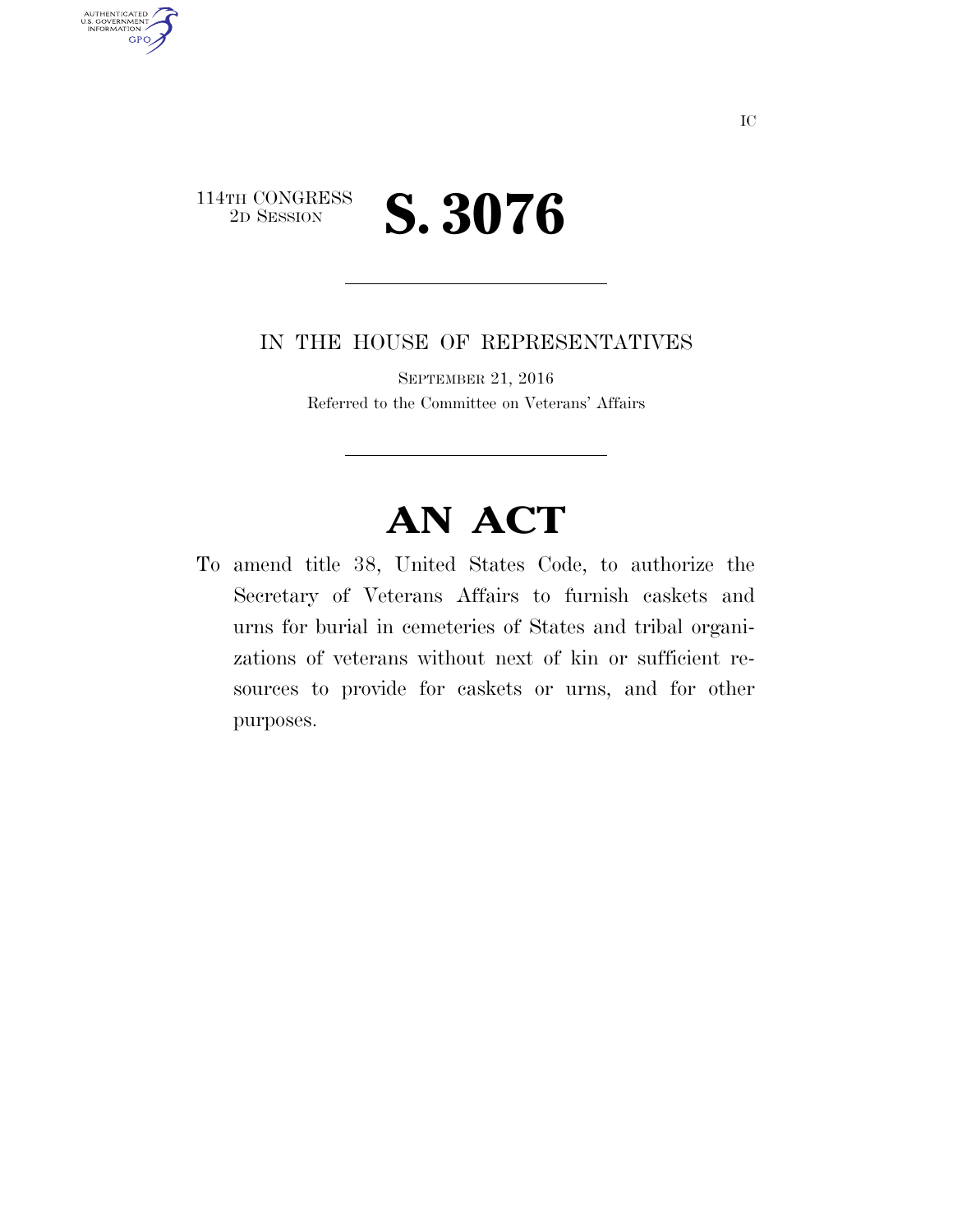

AUTHENTICATED<br>U.S. GOVERNMENT<br>INFORMATION

**GPO** 

IN THE HOUSE OF REPRESENTATIVES

SEPTEMBER 21, 2016 Referred to the Committee on Veterans' Affairs

## **AN ACT**

To amend title 38, United States Code, to authorize the Secretary of Veterans Affairs to furnish caskets and urns for burial in cemeteries of States and tribal organizations of veterans without next of kin or sufficient resources to provide for caskets or urns, and for other purposes.